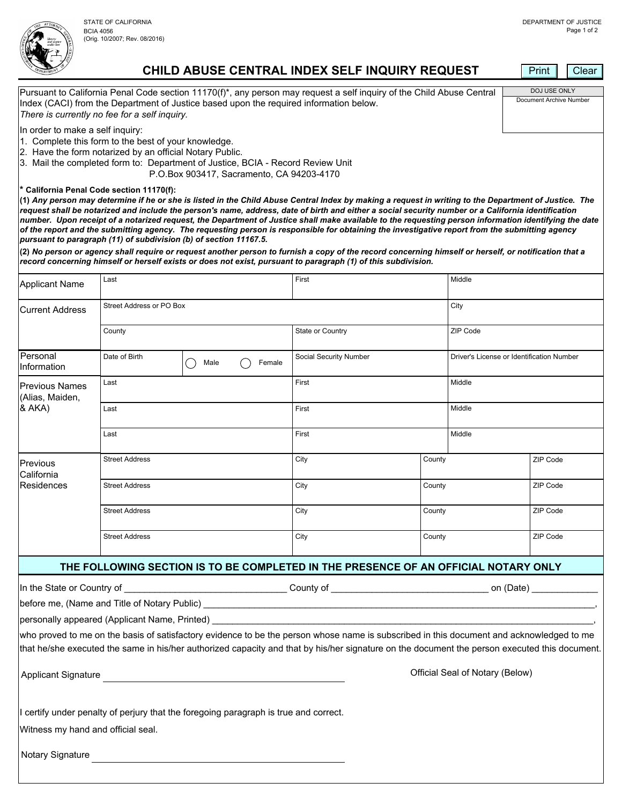BCIA 4056 (Orig. 10/2007; Rev. 08/2016)

DOJ USE ONLY Document Archive Number



**CHILD ABUSE CENTRAL INDEX SELF INQUIRY REQUEST**

Pursuant to California Penal Code section 11170(f)\*, any person may request a self inquiry of the Child Abuse Central

Index (CACI) from the Department of Justice based upon the required information below.

Print | Clear

|                                                                                                                                                                                     | There is currently no fee for a self inquiry.                                                                    |                                                                                                                                                                                                                                                                                                                                                                                                                                                                                                                                                                                                                                                                                               |                        |        |                                           |          |
|-------------------------------------------------------------------------------------------------------------------------------------------------------------------------------------|------------------------------------------------------------------------------------------------------------------|-----------------------------------------------------------------------------------------------------------------------------------------------------------------------------------------------------------------------------------------------------------------------------------------------------------------------------------------------------------------------------------------------------------------------------------------------------------------------------------------------------------------------------------------------------------------------------------------------------------------------------------------------------------------------------------------------|------------------------|--------|-------------------------------------------|----------|
| In order to make a self inquiry:                                                                                                                                                    | 1. Complete this form to the best of your knowledge.<br>2. Have the form notarized by an official Notary Public. | 3. Mail the completed form to: Department of Justice, BCIA - Record Review Unit<br>P.O.Box 903417, Sacramento, CA 94203-4170                                                                                                                                                                                                                                                                                                                                                                                                                                                                                                                                                                  |                        |        |                                           |          |
|                                                                                                                                                                                     | * California Penal Code section 11170(f):                                                                        | (1) Any person may determine if he or she is listed in the Child Abuse Central Index by making a request in writing to the Department of Justice. The<br>request shall be notarized and include the person's name, address, date of birth and either a social security number or a California identification<br>number. Upon receipt of a notarized request, the Department of Justice shall make available to the requesting person information identifying the date<br>of the report and the submitting agency. The requesting person is responsible for obtaining the investigative report from the submitting agency<br>pursuant to paragraph (11) of subdivision (b) of section 11167.5. |                        |        |                                           |          |
|                                                                                                                                                                                     |                                                                                                                  | (2) No person or agency shall require or request another person to furnish a copy of the record concerning himself or herself, or notification that a<br>record concerning himself or herself exists or does not exist, pursuant to paragraph (1) of this subdivision.                                                                                                                                                                                                                                                                                                                                                                                                                        |                        |        |                                           |          |
| <b>Applicant Name</b>                                                                                                                                                               | Last                                                                                                             |                                                                                                                                                                                                                                                                                                                                                                                                                                                                                                                                                                                                                                                                                               | First                  |        | Middle                                    |          |
| <b>Current Address</b>                                                                                                                                                              | Street Address or PO Box                                                                                         |                                                                                                                                                                                                                                                                                                                                                                                                                                                                                                                                                                                                                                                                                               |                        |        | City                                      |          |
|                                                                                                                                                                                     | County                                                                                                           |                                                                                                                                                                                                                                                                                                                                                                                                                                                                                                                                                                                                                                                                                               | State or Country       |        | ZIP Code                                  |          |
| Personal<br>Information                                                                                                                                                             | Date of Birth                                                                                                    | Female<br>$($ )<br>Male                                                                                                                                                                                                                                                                                                                                                                                                                                                                                                                                                                                                                                                                       | Social Security Number |        | Driver's License or Identification Number |          |
| <b>Previous Names</b><br>(Alias, Maiden,<br>& AKA)                                                                                                                                  | Last                                                                                                             |                                                                                                                                                                                                                                                                                                                                                                                                                                                                                                                                                                                                                                                                                               | First                  |        | Middle                                    |          |
|                                                                                                                                                                                     | Last                                                                                                             |                                                                                                                                                                                                                                                                                                                                                                                                                                                                                                                                                                                                                                                                                               | First                  |        | Middle                                    |          |
|                                                                                                                                                                                     | Last                                                                                                             |                                                                                                                                                                                                                                                                                                                                                                                                                                                                                                                                                                                                                                                                                               | First                  |        | Middle                                    |          |
| Previous<br>California<br>Residences                                                                                                                                                | <b>Street Address</b>                                                                                            |                                                                                                                                                                                                                                                                                                                                                                                                                                                                                                                                                                                                                                                                                               | City                   | County |                                           | ZIP Code |
|                                                                                                                                                                                     | <b>Street Address</b>                                                                                            |                                                                                                                                                                                                                                                                                                                                                                                                                                                                                                                                                                                                                                                                                               | City                   | County |                                           | ZIP Code |
|                                                                                                                                                                                     | <b>Street Address</b>                                                                                            |                                                                                                                                                                                                                                                                                                                                                                                                                                                                                                                                                                                                                                                                                               | City                   | County |                                           | ZIP Code |
|                                                                                                                                                                                     | <b>Street Address</b>                                                                                            |                                                                                                                                                                                                                                                                                                                                                                                                                                                                                                                                                                                                                                                                                               | City                   | County |                                           | ZIP Code |
|                                                                                                                                                                                     |                                                                                                                  | THE FOLLOWING SECTION IS TO BE COMPLETED IN THE PRESENCE OF AN OFFICIAL NOTARY ONLY                                                                                                                                                                                                                                                                                                                                                                                                                                                                                                                                                                                                           |                        |        |                                           |          |
|                                                                                                                                                                                     |                                                                                                                  |                                                                                                                                                                                                                                                                                                                                                                                                                                                                                                                                                                                                                                                                                               |                        |        |                                           |          |
|                                                                                                                                                                                     |                                                                                                                  |                                                                                                                                                                                                                                                                                                                                                                                                                                                                                                                                                                                                                                                                                               |                        |        |                                           |          |
|                                                                                                                                                                                     |                                                                                                                  |                                                                                                                                                                                                                                                                                                                                                                                                                                                                                                                                                                                                                                                                                               |                        |        |                                           |          |
|                                                                                                                                                                                     |                                                                                                                  | who proved to me on the basis of satisfactory evidence to be the person whose name is subscribed in this document and acknowledged to me                                                                                                                                                                                                                                                                                                                                                                                                                                                                                                                                                      |                        |        |                                           |          |
|                                                                                                                                                                                     |                                                                                                                  | that he/she executed the same in his/her authorized capacity and that by his/her signature on the document the person executed this document.                                                                                                                                                                                                                                                                                                                                                                                                                                                                                                                                                 |                        |        |                                           |          |
| Official Seal of Notary (Below)<br>Applicant Signature <b>Applicant</b> Signature <b>Applicant</b> Signature <b>Applicant</b> Signature <b>Applicant</b> Signature <b>Applicant</b> |                                                                                                                  |                                                                                                                                                                                                                                                                                                                                                                                                                                                                                                                                                                                                                                                                                               |                        |        |                                           |          |
|                                                                                                                                                                                     |                                                                                                                  | I certify under penalty of perjury that the foregoing paragraph is true and correct.                                                                                                                                                                                                                                                                                                                                                                                                                                                                                                                                                                                                          |                        |        |                                           |          |
| Witness my hand and official seal.                                                                                                                                                  |                                                                                                                  |                                                                                                                                                                                                                                                                                                                                                                                                                                                                                                                                                                                                                                                                                               |                        |        |                                           |          |
| Notary Signature                                                                                                                                                                    |                                                                                                                  | <u> 1980 - Andrea Andrew Maria (h. 1980).</u>                                                                                                                                                                                                                                                                                                                                                                                                                                                                                                                                                                                                                                                 |                        |        |                                           |          |
|                                                                                                                                                                                     |                                                                                                                  |                                                                                                                                                                                                                                                                                                                                                                                                                                                                                                                                                                                                                                                                                               |                        |        |                                           |          |
|                                                                                                                                                                                     |                                                                                                                  |                                                                                                                                                                                                                                                                                                                                                                                                                                                                                                                                                                                                                                                                                               |                        |        |                                           |          |
|                                                                                                                                                                                     |                                                                                                                  |                                                                                                                                                                                                                                                                                                                                                                                                                                                                                                                                                                                                                                                                                               |                        |        |                                           |          |